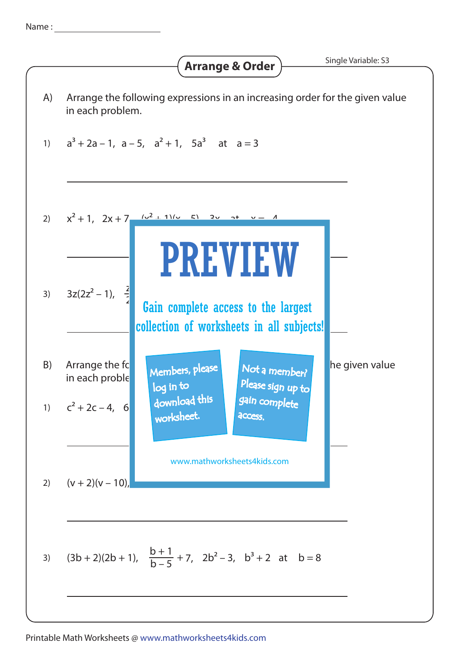